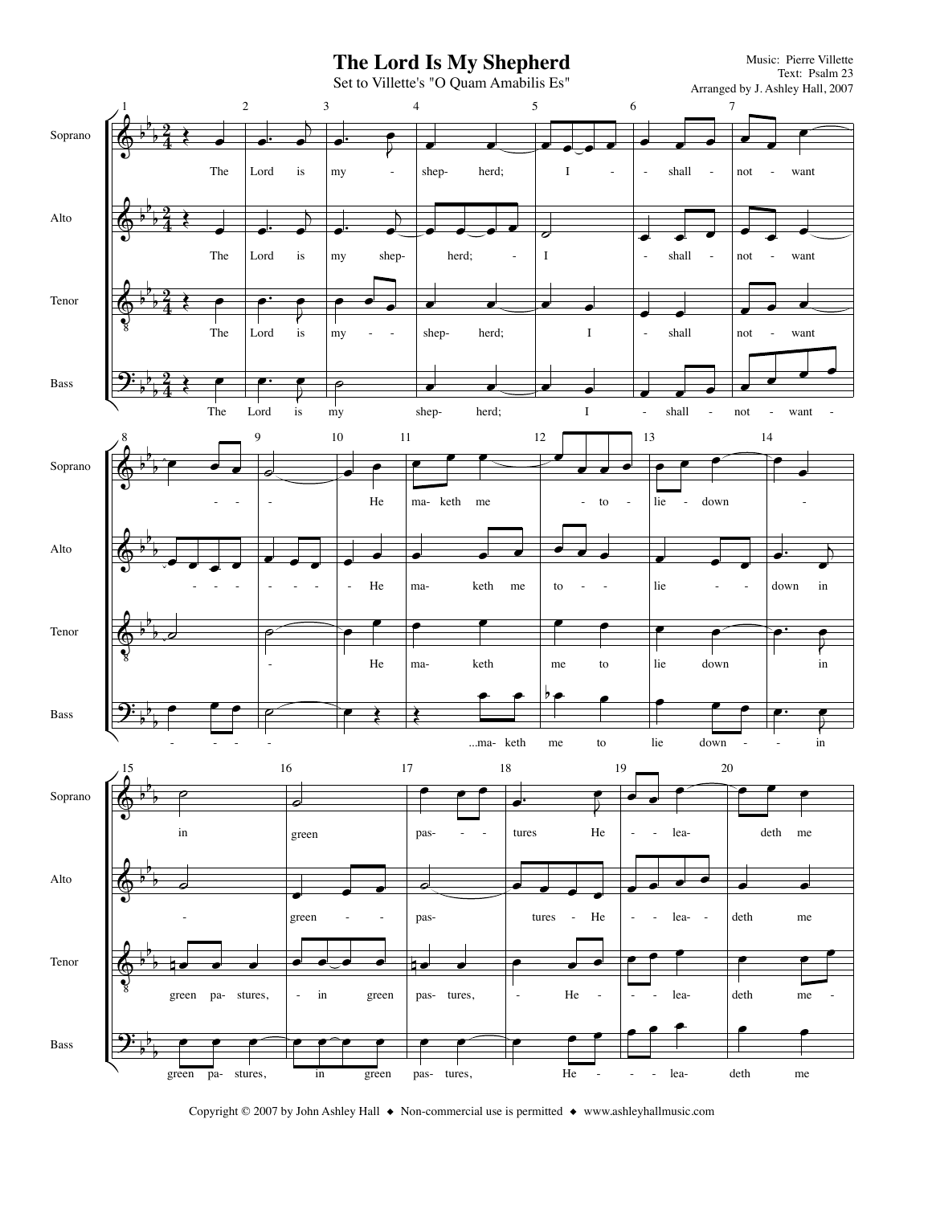

Copyright © 2007 by John Ashley Hall ♦ Non-commercial use is permitted ♦ www.ashleyhallmusic.com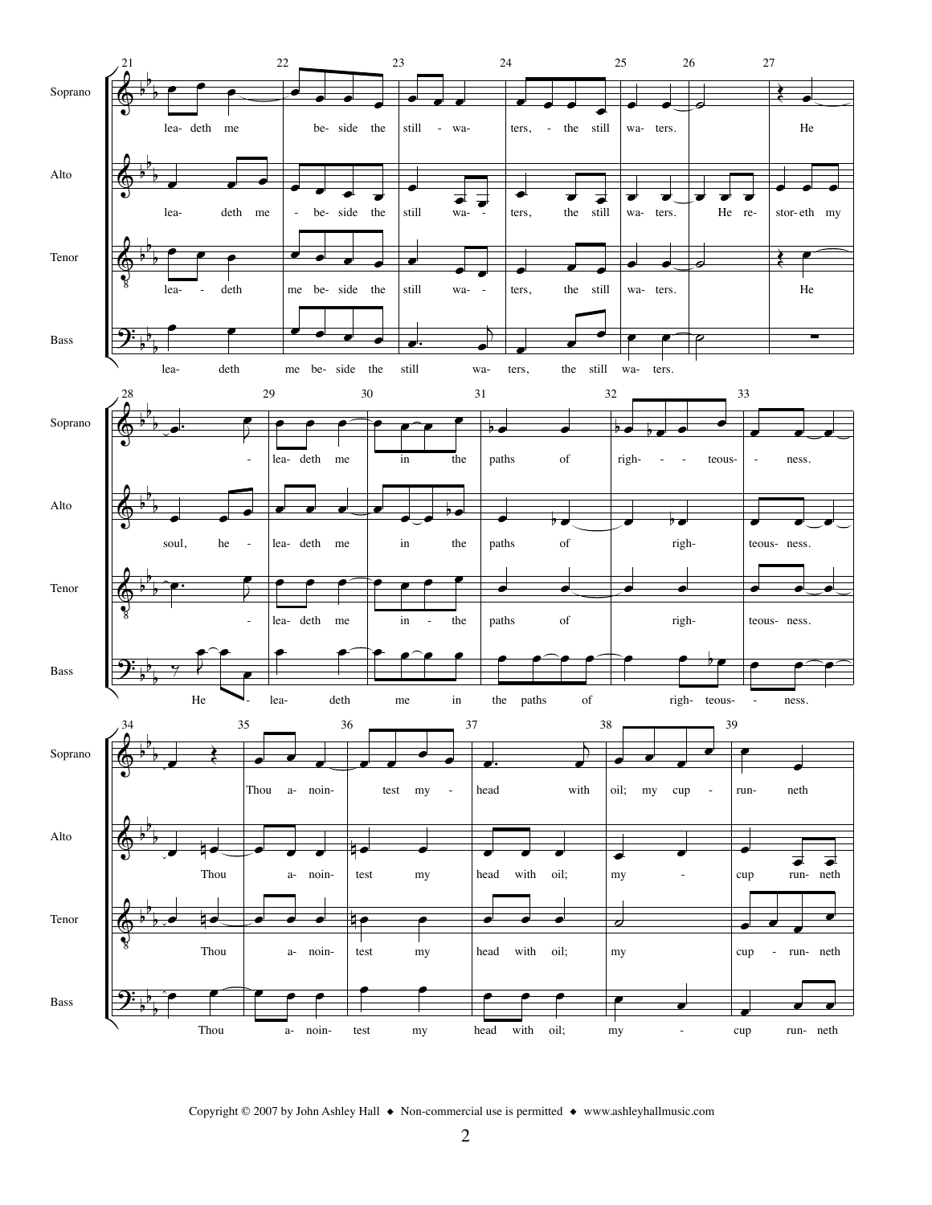

Copyright © 2007 by John Ashley Hall  $\bullet$  Non-commercial use is permitted  $\bullet$  www.ashleyhallmusic.com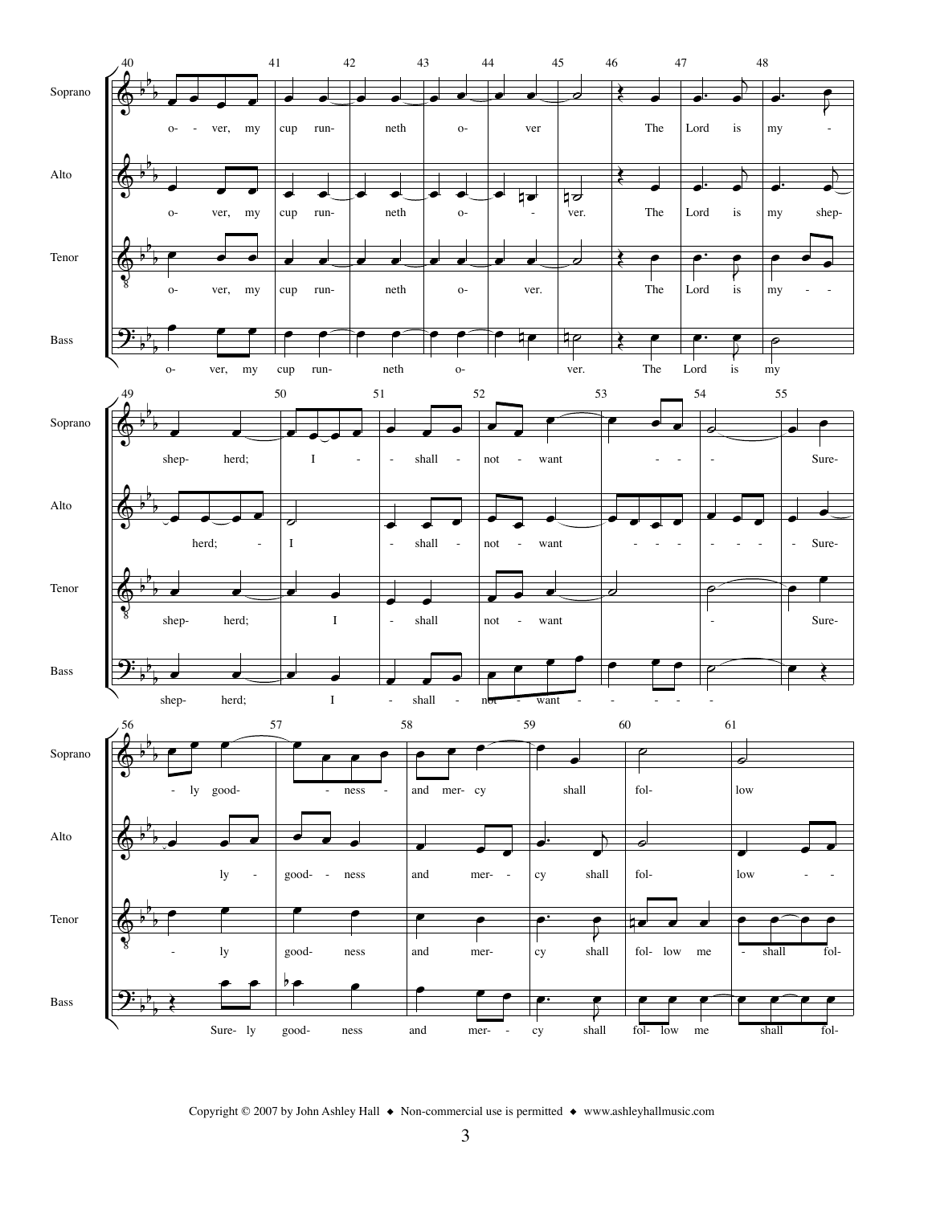

Copyright © 2007 by John Ashley Hall  $\bullet$  Non-commercial use is permitted  $\bullet$  www.ashleyhallmusic.com